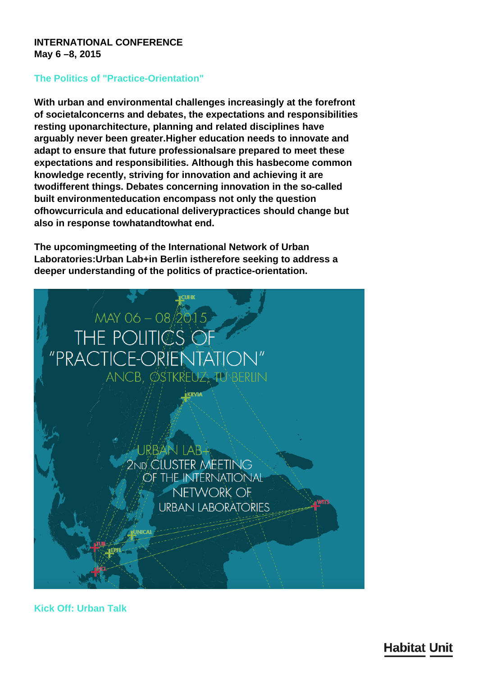**INTERNATIONAL CONFERENCE May 6 –8, 2015**

## **The Politics of "Practice-Orientation"**

**With urban and environmental challenges increasingly at the forefront of societalconcerns and debates, the expectations and responsibilities resting uponarchitecture, planning and related disciplines have arguably never been greater.Higher education needs to innovate and adapt to ensure that future professionalsare prepared to meet these expectations and responsibilities. Although this hasbecome common knowledge recently, striving for innovation and achieving it are twodifferent things. Debates concerning innovation in the so-called built environmenteducation encompass not only the question ofhowcurricula and educational deliverypractices should change but also in response towhatandtowhat end.**

**The upcomingmeeting of the International Network of Urban Laboratories:Urban Lab+in Berlin istherefore seeking to address a deeper understanding of the politics of practice-orientation.**



**Kick Off: Urban Talk**